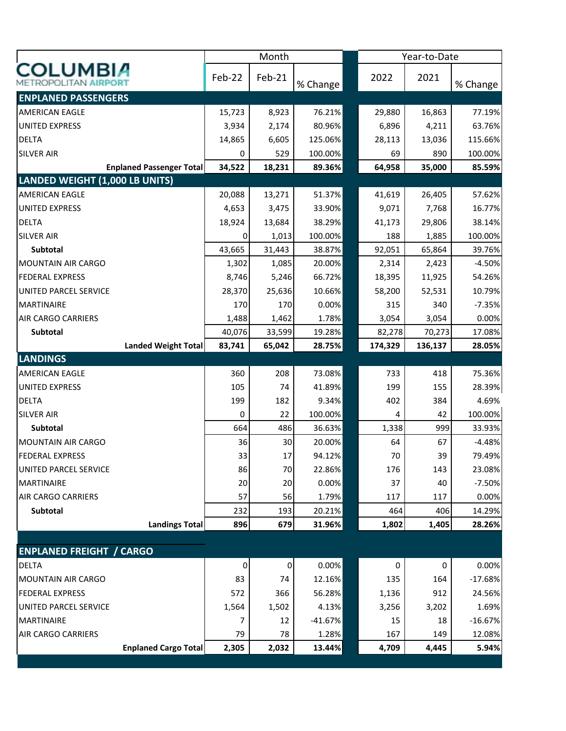|                                       |                                 |        | Month     |           |         | Year-to-Date |           |  |  |
|---------------------------------------|---------------------------------|--------|-----------|-----------|---------|--------------|-----------|--|--|
| <b>COLUMBIA</b>                       |                                 | Feb-22 | Feb-21    | % Change  | 2022    | 2021         | % Change  |  |  |
| <b>ENPLANED PASSENGERS</b>            |                                 |        |           |           |         |              |           |  |  |
| <b>AMERICAN EAGLE</b>                 |                                 | 15,723 | 8,923     | 76.21%    | 29,880  | 16,863       | 77.19%    |  |  |
| UNITED EXPRESS                        |                                 | 3,934  | 2,174     | 80.96%    | 6,896   | 4,211        | 63.76%    |  |  |
| <b>DELTA</b>                          |                                 | 14,865 | 6,605     | 125.06%   | 28,113  | 13,036       | 115.66%   |  |  |
| <b>SILVER AIR</b>                     |                                 | 0      | 529       | 100.00%   | 69      | 890          | 100.00%   |  |  |
|                                       | <b>Enplaned Passenger Total</b> | 34,522 | 18,231    | 89.36%    | 64,958  | 35,000       | 85.59%    |  |  |
| <b>LANDED WEIGHT (1,000 LB UNITS)</b> |                                 |        |           |           |         |              |           |  |  |
| <b>AMERICAN EAGLE</b>                 |                                 | 20,088 | 13,271    | 51.37%    | 41,619  | 26,405       | 57.62%    |  |  |
| <b>UNITED EXPRESS</b>                 |                                 | 4,653  | 3,475     | 33.90%    | 9,071   | 7,768        | 16.77%    |  |  |
| <b>DELTA</b>                          |                                 | 18,924 | 13,684    | 38.29%    | 41,173  | 29,806       | 38.14%    |  |  |
| <b>SILVER AIR</b>                     |                                 | 0      | 1,013     | 100.00%   | 188     | 1,885        | 100.00%   |  |  |
| Subtotal                              |                                 | 43,665 | 31,443    | 38.87%    | 92,051  | 65,864       | 39.76%    |  |  |
| <b>MOUNTAIN AIR CARGO</b>             |                                 | 1,302  | 1,085     | 20.00%    | 2,314   | 2,423        | $-4.50%$  |  |  |
| <b>FEDERAL EXPRESS</b>                |                                 | 8,746  | 5,246     | 66.72%    | 18,395  | 11,925       | 54.26%    |  |  |
| UNITED PARCEL SERVICE                 |                                 | 28,370 | 25,636    | 10.66%    | 58,200  | 52,531       | 10.79%    |  |  |
| <b>MARTINAIRE</b>                     |                                 | 170    | 170       | 0.00%     | 315     | 340          | $-7.35%$  |  |  |
| <b>AIR CARGO CARRIERS</b>             |                                 | 1,488  | 1,462     | 1.78%     | 3,054   | 3,054        | 0.00%     |  |  |
| Subtotal                              |                                 | 40,076 | 33,599    | 19.28%    | 82,278  | 70,273       | 17.08%    |  |  |
|                                       | <b>Landed Weight Total</b>      | 83,741 | 65,042    | 28.75%    | 174,329 | 136,137      | 28.05%    |  |  |
| <b>LANDINGS</b>                       |                                 |        |           |           |         |              |           |  |  |
| <b>AMERICAN EAGLE</b>                 |                                 | 360    | 208       | 73.08%    | 733     | 418          | 75.36%    |  |  |
| <b>UNITED EXPRESS</b>                 |                                 | 105    | 74        | 41.89%    | 199     | 155          | 28.39%    |  |  |
| <b>DELTA</b>                          |                                 | 199    | 182       | 9.34%     | 402     | 384          | 4.69%     |  |  |
| <b>SILVER AIR</b>                     |                                 | 0      | 22        | 100.00%   | 4       | 42           | 100.00%   |  |  |
| Subtotal                              |                                 | 664    | 486       | 36.63%    | 1,338   | 999          | 33.93%    |  |  |
| <b>MOUNTAIN AIR CARGO</b>             |                                 | 36     | 30        | 20.00%    | 64      | 67           | $-4.48%$  |  |  |
| <b>FEDERAL EXPRESS</b>                |                                 | 33     | 17        | 94.12%    | 70      | 39           | 79.49%    |  |  |
| UNITED PARCEL SERVICE                 |                                 | 86     | 70        | 22.86%    | 176     | 143          | 23.08%    |  |  |
| <b>MARTINAIRE</b>                     |                                 | 20     | 20        | 0.00%     | 37      | 40           | $-7.50%$  |  |  |
| <b>AIR CARGO CARRIERS</b>             |                                 | 57     | 56        | 1.79%     | 117     | 117          | 0.00%     |  |  |
| Subtotal                              |                                 | 232    | 193       | 20.21%    | 464     | 406          | 14.29%    |  |  |
|                                       | <b>Landings Total</b>           | 896    | 679       | 31.96%    | 1,802   | 1,405        | 28.26%    |  |  |
|                                       |                                 |        |           |           |         |              |           |  |  |
| <b>ENPLANED FREIGHT / CARGO</b>       |                                 |        |           |           |         |              |           |  |  |
| <b>DELTA</b>                          |                                 | 0      | $\pmb{0}$ | 0.00%     | 0       | 0            | 0.00%     |  |  |
| <b>MOUNTAIN AIR CARGO</b>             |                                 | 83     | 74        | 12.16%    | 135     | 164          | $-17.68%$ |  |  |
| <b>FEDERAL EXPRESS</b>                |                                 | 572    | 366       | 56.28%    | 1,136   | 912          | 24.56%    |  |  |
| UNITED PARCEL SERVICE                 |                                 | 1,564  | 1,502     | 4.13%     | 3,256   | 3,202        | 1.69%     |  |  |
| <b>MARTINAIRE</b>                     |                                 | 7      | 12        | $-41.67%$ | 15      | 18           | $-16.67%$ |  |  |
| <b>AIR CARGO CARRIERS</b>             |                                 | 79     | 78        | 1.28%     | 167     | 149          | 12.08%    |  |  |
|                                       | <b>Enplaned Cargo Total</b>     | 2,305  | 2,032     | 13.44%    | 4,709   | 4,445        | 5.94%     |  |  |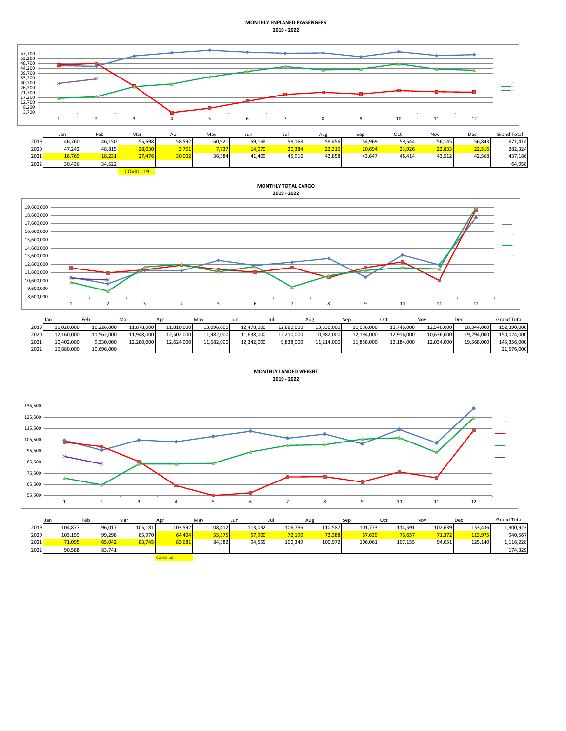## **MONTHLY ENPLANED PASSENGERS 2019 - 2022**



|      | Jan    | Feb    | Mar          | Apr    | May    | Jun    | Jul    | Aug    | Sep    | Oct    | Nov    | Dec    | <b>Grand Total</b> |
|------|--------|--------|--------------|--------|--------|--------|--------|--------|--------|--------|--------|--------|--------------------|
| 2019 | 46,760 | 46,150 | 55,698       | 58,592 | 60,921 | 59,168 | 58,168 | 58,456 | 54,969 | 59,544 | 56,145 | 56,843 | 671,414            |
| 2020 | 47,242 | 48,815 | 28,030       | 3,761  | 7,737  | 14,070 | 20,384 | 22,316 | 20,694 | 23,926 | 22,833 | 22,516 | 282,324            |
| 2021 | 16,769 | 18,231 | 27.476       | 30,002 | 36,384 | 41.409 | 45,916 | 42,858 | 43,647 | 48.414 | 43,512 | 42,568 | 437,186            |
| 2022 | 30,436 | 34,522 |              |        |        |        |        |        |        |        |        |        | 64,958             |
|      |        |        | $COVID - 19$ |        |        |        |        |        |        |        |        |        |                    |

**MONTHLY TOTAL CARGO**



|      | Jan        | Feb        | Mar        | Apr        | May        | Jun        |            | Aug        | Sep        | Oct        | Nov        | Dec        | <b>Grand Total</b> |
|------|------------|------------|------------|------------|------------|------------|------------|------------|------------|------------|------------|------------|--------------------|
| 2019 | 11.020.000 | 10.226.000 | 11.878.000 | 11.810.000 | 13.096.000 | 12.478.000 | 12.880.000 | 13.330.000 | 11.036.000 | 13.746.000 | 12.546.000 | 18.344.000 | 152.390.000        |
| 2020 | 12.160.000 | 11.562.000 | 11,948,000 | 12,502,000 | 11,982,000 | 11,638,000 | 12,210,000 | 10,982,000 | 12,194,000 | 12,916,000 | 10,636,000 | 19,294,000 | 150,024,000        |
| 2021 | 10.402.000 | 9.330.000  | 12.280.000 | 12.624.000 | 11.682.000 | 12.342.000 | 9.838.000  | 11.214.000 | 11.858.000 | 12.184.000 | 12.034.000 | 19.568.000 | 145.356.000        |
| 2022 | 10.880.000 | 10.696.000 |            |            |            |            |            |            |            |            |            |            | 21,576,000         |



|      | Jan     | Feb    | Mar     | Apr      | May     | Jun     | Jul     | Aug     | Sep     | Oct     | Nov     | Dec     | <b>Grand Total</b> |
|------|---------|--------|---------|----------|---------|---------|---------|---------|---------|---------|---------|---------|--------------------|
| 2019 | 104.877 | 96.017 | 105.181 | 103,592  | 108,412 | 113.032 | 106.786 | 110.587 | 101,773 | 114,591 | 102.639 | 133.436 | 1,300,923          |
| 2020 | 103,199 | 99.298 | 85.970  | 64,404   | 55,575  | 57,900  | 72,190  | 72.388  | 67,639  | 76,657  | 71,372  | 113,975 | 940,567            |
| 2021 | 71,095  | 65.042 | 83,745  | 83,681   | 84,382  | 94,555  | 100,349 | 100,972 | 106,061 | 107.155 | 94,051  | 125.140 | 1,116,228          |
| 2022 | 90,588  | 83,741 |         |          |         |         |         |         |         |         |         |         | 174,329            |
|      |         |        |         | COVID-19 |         |         |         |         |         |         |         |         |                    |

**2019 - 2022**